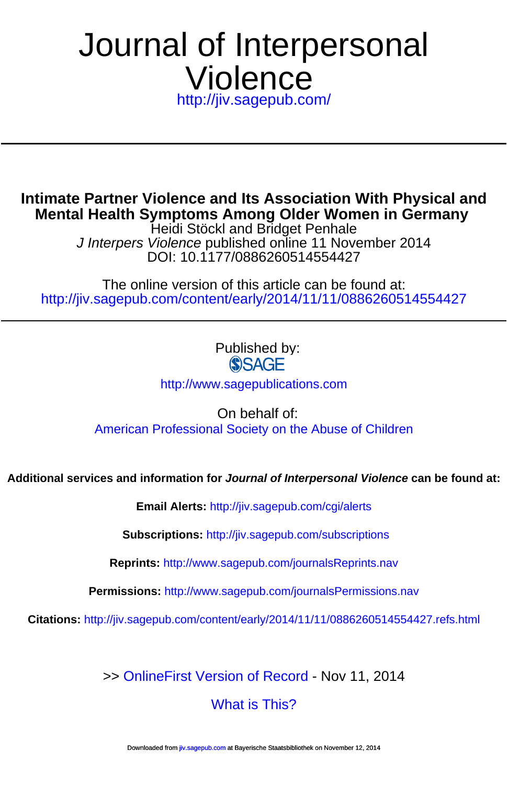# Violence Journal of Interpersonal

<http://jiv.sagepub.com/>

**Mental Health Symptoms Among Older Women in Germany Intimate Partner Violence and Its Association With Physical and**

DOI: 10.1177/0886260514554427 J Interpers Violence published online 11 November 2014 Heidi Stöckl and Bridget Penhale

<http://jiv.sagepub.com/content/early/2014/11/11/0886260514554427> The online version of this article can be found at:

Published by:<br>
SAGE

<http://www.sagepublications.com>

On behalf of: [American Professional Society on the Abuse of Children](http://www.apsac.org)

**Additional services and information for Journal of Interpersonal Violence can be found at:**

**Email Alerts:** <http://jiv.sagepub.com/cgi/alerts>

**Subscriptions:** <http://jiv.sagepub.com/subscriptions>

**Reprints:** <http://www.sagepub.com/journalsReprints.nav>

**Permissions:** <http://www.sagepub.com/journalsPermissions.nav>

**Citations:** <http://jiv.sagepub.com/content/early/2014/11/11/0886260514554427.refs.html>

>> [OnlineFirst Version of Record -](http://jiv.sagepub.com/content/early/2014/11/11/0886260514554427.full.pdf) Nov 11, 2014

[What is This?](http://online.sagepub.com/site/sphelp/vorhelp.xhtml)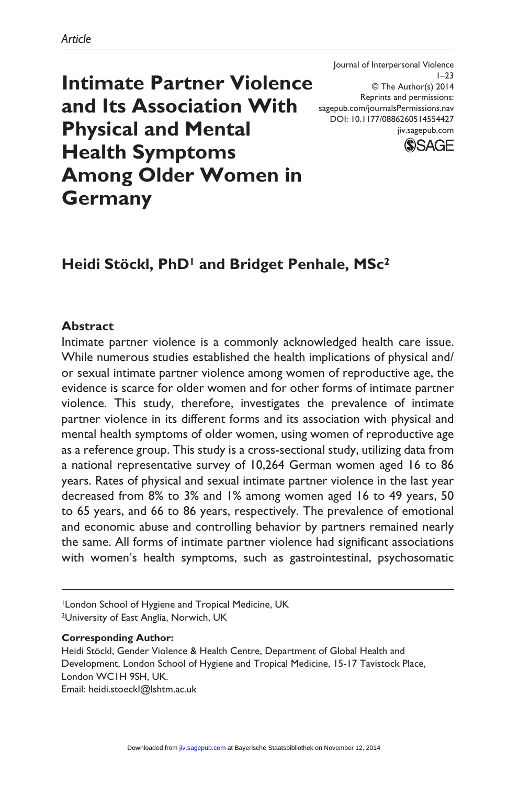**Intimate Partner Violence and Its Association With Physical and Mental Health Symptoms Among Older Women in Germany**

Journal of Interpersonal Violence  $1 - 23$ © The Author(s) 2014 Reprints and permissions: sagepub.com/journalsPermissions.nav DOI: 10.1177/0886260514554427 jiv.sagepub.com



# **Heidi Stöckl, PhD1 and Bridget Penhale, MSc2**

#### **Abstract**

Intimate partner violence is a commonly acknowledged health care issue. While numerous studies established the health implications of physical and/ or sexual intimate partner violence among women of reproductive age, the evidence is scarce for older women and for other forms of intimate partner violence. This study, therefore, investigates the prevalence of intimate partner violence in its different forms and its association with physical and mental health symptoms of older women, using women of reproductive age as a reference group. This study is a cross-sectional study, utilizing data from a national representative survey of 10,264 German women aged 16 to 86 years. Rates of physical and sexual intimate partner violence in the last year decreased from 8% to 3% and 1% among women aged 16 to 49 years, 50 to 65 years, and 66 to 86 years, respectively. The prevalence of emotional and economic abuse and controlling behavior by partners remained nearly the same. All forms of intimate partner violence had significant associations with women's health symptoms, such as gastrointestinal, psychosomatic

**Corresponding Author:**

Heidi Stöckl, Gender Violence & Health Centre, Department of Global Health and Development, London School of Hygiene and Tropical Medicine, 15-17 Tavistock Place, London WC1H 9SH, UK.

Email: heidi.stoeckl@lshtm.ac.uk

<sup>1</sup>London School of Hygiene and Tropical Medicine, UK 2University of East Anglia, Norwich, UK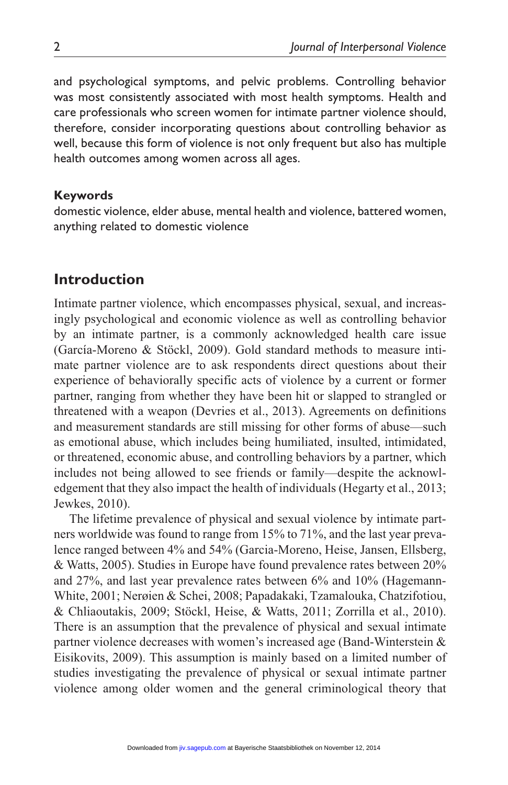and psychological symptoms, and pelvic problems. Controlling behavior was most consistently associated with most health symptoms. Health and care professionals who screen women for intimate partner violence should, therefore, consider incorporating questions about controlling behavior as well, because this form of violence is not only frequent but also has multiple health outcomes among women across all ages.

#### **Keywords**

domestic violence, elder abuse, mental health and violence, battered women, anything related to domestic violence

# **Introduction**

Intimate partner violence, which encompasses physical, sexual, and increasingly psychological and economic violence as well as controlling behavior by an intimate partner, is a commonly acknowledged health care issue (García-Moreno & Stöckl, 2009). Gold standard methods to measure intimate partner violence are to ask respondents direct questions about their experience of behaviorally specific acts of violence by a current or former partner, ranging from whether they have been hit or slapped to strangled or threatened with a weapon (Devries et al., 2013). Agreements on definitions and measurement standards are still missing for other forms of abuse—such as emotional abuse, which includes being humiliated, insulted, intimidated, or threatened, economic abuse, and controlling behaviors by a partner, which includes not being allowed to see friends or family—despite the acknowledgement that they also impact the health of individuals (Hegarty et al., 2013; Jewkes, 2010).

The lifetime prevalence of physical and sexual violence by intimate partners worldwide was found to range from 15% to 71%, and the last year prevalence ranged between 4% and 54% (Garcia-Moreno, Heise, Jansen, Ellsberg, & Watts, 2005). Studies in Europe have found prevalence rates between 20% and 27%, and last year prevalence rates between 6% and 10% (Hagemann-White, 2001; Nerøien & Schei, 2008; Papadakaki, Tzamalouka, Chatzifotiou, & Chliaoutakis, 2009; Stöckl, Heise, & Watts, 2011; Zorrilla et al., 2010). There is an assumption that the prevalence of physical and sexual intimate partner violence decreases with women's increased age (Band-Winterstein & Eisikovits, 2009). This assumption is mainly based on a limited number of studies investigating the prevalence of physical or sexual intimate partner violence among older women and the general criminological theory that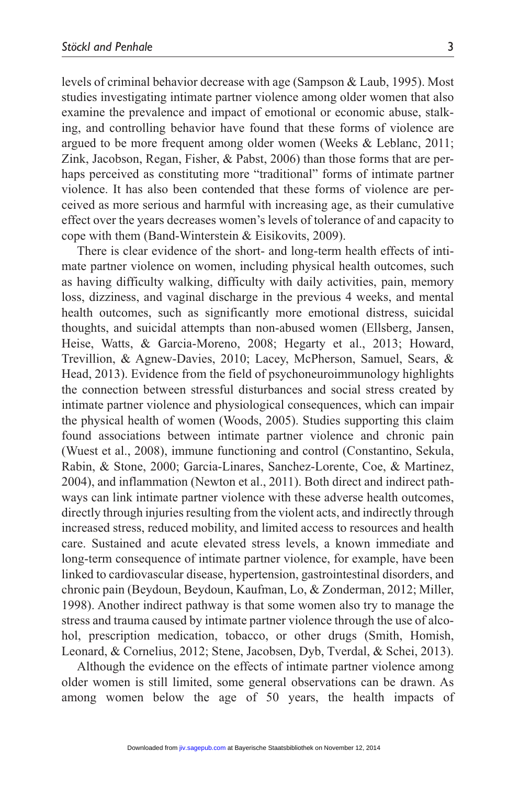levels of criminal behavior decrease with age (Sampson & Laub, 1995). Most studies investigating intimate partner violence among older women that also examine the prevalence and impact of emotional or economic abuse, stalking, and controlling behavior have found that these forms of violence are argued to be more frequent among older women (Weeks & Leblanc, 2011; Zink, Jacobson, Regan, Fisher, & Pabst, 2006) than those forms that are perhaps perceived as constituting more "traditional" forms of intimate partner violence. It has also been contended that these forms of violence are perceived as more serious and harmful with increasing age, as their cumulative effect over the years decreases women's levels of tolerance of and capacity to cope with them (Band-Winterstein & Eisikovits, 2009).

There is clear evidence of the short- and long-term health effects of intimate partner violence on women, including physical health outcomes, such as having difficulty walking, difficulty with daily activities, pain, memory loss, dizziness, and vaginal discharge in the previous 4 weeks, and mental health outcomes, such as significantly more emotional distress, suicidal thoughts, and suicidal attempts than non-abused women (Ellsberg, Jansen, Heise, Watts, & Garcia-Moreno, 2008; Hegarty et al., 2013; Howard, Trevillion, & Agnew-Davies, 2010; Lacey, McPherson, Samuel, Sears, & Head, 2013). Evidence from the field of psychoneuroimmunology highlights the connection between stressful disturbances and social stress created by intimate partner violence and physiological consequences, which can impair the physical health of women (Woods, 2005). Studies supporting this claim found associations between intimate partner violence and chronic pain (Wuest et al., 2008), immune functioning and control (Constantino, Sekula, Rabin, & Stone, 2000; Garcia-Linares, Sanchez-Lorente, Coe, & Martinez, 2004), and inflammation (Newton et al., 2011). Both direct and indirect pathways can link intimate partner violence with these adverse health outcomes, directly through injuries resulting from the violent acts, and indirectly through increased stress, reduced mobility, and limited access to resources and health care. Sustained and acute elevated stress levels, a known immediate and long-term consequence of intimate partner violence, for example, have been linked to cardiovascular disease, hypertension, gastrointestinal disorders, and chronic pain (Beydoun, Beydoun, Kaufman, Lo, & Zonderman, 2012; Miller, 1998). Another indirect pathway is that some women also try to manage the stress and trauma caused by intimate partner violence through the use of alcohol, prescription medication, tobacco, or other drugs (Smith, Homish, Leonard, & Cornelius, 2012; Stene, Jacobsen, Dyb, Tverdal, & Schei, 2013).

Although the evidence on the effects of intimate partner violence among older women is still limited, some general observations can be drawn. As among women below the age of 50 years, the health impacts of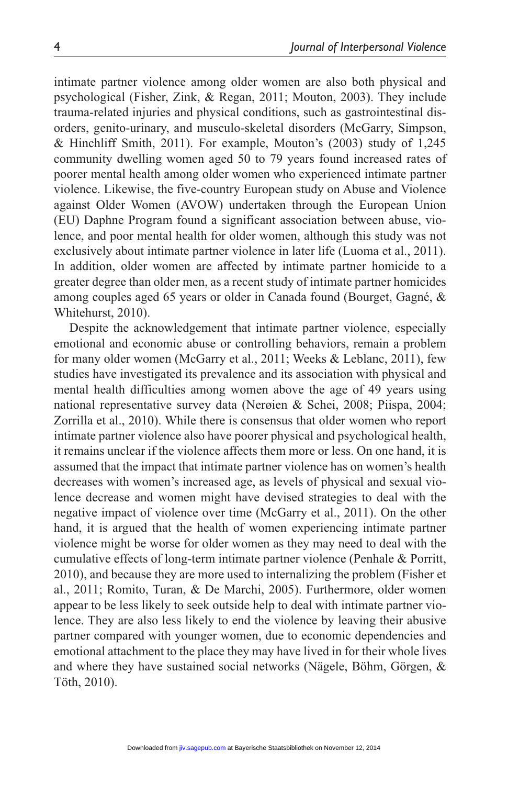intimate partner violence among older women are also both physical and psychological (Fisher, Zink, & Regan, 2011; Mouton, 2003). They include trauma-related injuries and physical conditions, such as gastrointestinal disorders, genito-urinary, and musculo-skeletal disorders (McGarry, Simpson, & Hinchliff Smith, 2011). For example, Mouton's (2003) study of 1,245 community dwelling women aged 50 to 79 years found increased rates of poorer mental health among older women who experienced intimate partner violence. Likewise, the five-country European study on Abuse and Violence against Older Women (AVOW) undertaken through the European Union (EU) Daphne Program found a significant association between abuse, violence, and poor mental health for older women, although this study was not exclusively about intimate partner violence in later life (Luoma et al., 2011). In addition, older women are affected by intimate partner homicide to a greater degree than older men, as a recent study of intimate partner homicides among couples aged 65 years or older in Canada found (Bourget, Gagné, & Whitehurst, 2010).

Despite the acknowledgement that intimate partner violence, especially emotional and economic abuse or controlling behaviors, remain a problem for many older women (McGarry et al., 2011; Weeks & Leblanc, 2011), few studies have investigated its prevalence and its association with physical and mental health difficulties among women above the age of 49 years using national representative survey data (Nerøien & Schei, 2008; Piispa, 2004; Zorrilla et al., 2010). While there is consensus that older women who report intimate partner violence also have poorer physical and psychological health, it remains unclear if the violence affects them more or less. On one hand, it is assumed that the impact that intimate partner violence has on women's health decreases with women's increased age, as levels of physical and sexual violence decrease and women might have devised strategies to deal with the negative impact of violence over time (McGarry et al., 2011). On the other hand, it is argued that the health of women experiencing intimate partner violence might be worse for older women as they may need to deal with the cumulative effects of long-term intimate partner violence (Penhale & Porritt, 2010), and because they are more used to internalizing the problem (Fisher et al., 2011; Romito, Turan, & De Marchi, 2005). Furthermore, older women appear to be less likely to seek outside help to deal with intimate partner violence. They are also less likely to end the violence by leaving their abusive partner compared with younger women, due to economic dependencies and emotional attachment to the place they may have lived in for their whole lives and where they have sustained social networks (Nägele, Böhm, Görgen, & Töth, 2010).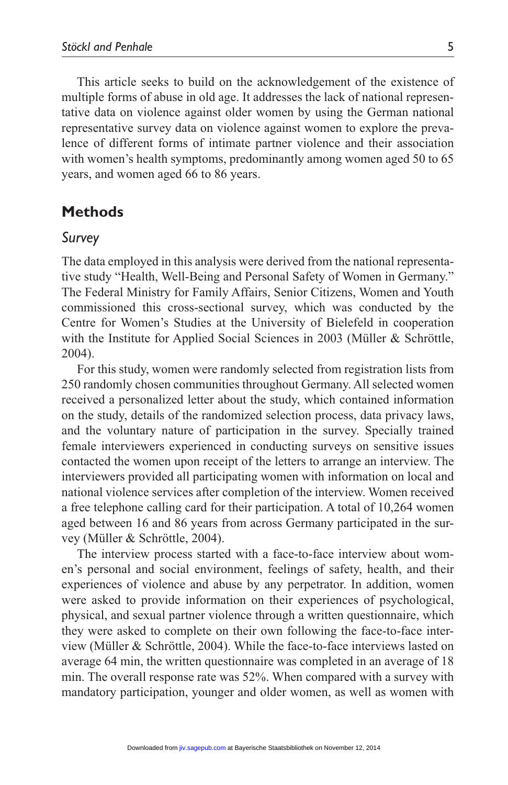This article seeks to build on the acknowledgement of the existence of multiple forms of abuse in old age. It addresses the lack of national representative data on violence against older women by using the German national representative survey data on violence against women to explore the prevalence of different forms of intimate partner violence and their association with women's health symptoms, predominantly among women aged 50 to 65 years, and women aged 66 to 86 years.

### **Methods**

#### *Survey*

The data employed in this analysis were derived from the national representative study "Health, Well-Being and Personal Safety of Women in Germany." The Federal Ministry for Family Affairs, Senior Citizens, Women and Youth commissioned this cross-sectional survey, which was conducted by the Centre for Women's Studies at the University of Bielefeld in cooperation with the Institute for Applied Social Sciences in 2003 (Müller & Schröttle, 2004).

For this study, women were randomly selected from registration lists from 250 randomly chosen communities throughout Germany. All selected women received a personalized letter about the study, which contained information on the study, details of the randomized selection process, data privacy laws, and the voluntary nature of participation in the survey. Specially trained female interviewers experienced in conducting surveys on sensitive issues contacted the women upon receipt of the letters to arrange an interview. The interviewers provided all participating women with information on local and national violence services after completion of the interview. Women received a free telephone calling card for their participation. A total of 10,264 women aged between 16 and 86 years from across Germany participated in the survey (Müller & Schröttle, 2004).

The interview process started with a face-to-face interview about women's personal and social environment, feelings of safety, health, and their experiences of violence and abuse by any perpetrator. In addition, women were asked to provide information on their experiences of psychological, physical, and sexual partner violence through a written questionnaire, which they were asked to complete on their own following the face-to-face interview (Müller & Schröttle, 2004). While the face-to-face interviews lasted on average 64 min, the written questionnaire was completed in an average of 18 min. The overall response rate was 52%. When compared with a survey with mandatory participation, younger and older women, as well as women with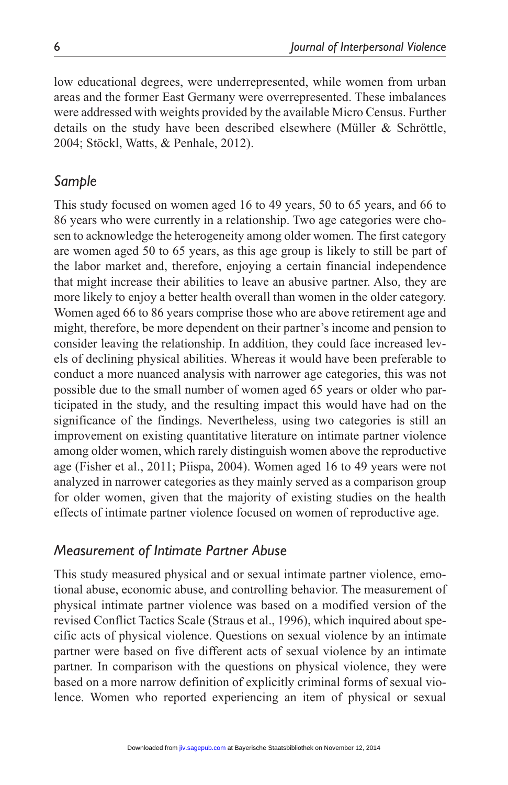low educational degrees, were underrepresented, while women from urban areas and the former East Germany were overrepresented. These imbalances were addressed with weights provided by the available Micro Census. Further details on the study have been described elsewhere (Müller & Schröttle, 2004; Stöckl, Watts, & Penhale, 2012).

## *Sample*

This study focused on women aged 16 to 49 years, 50 to 65 years, and 66 to 86 years who were currently in a relationship. Two age categories were chosen to acknowledge the heterogeneity among older women. The first category are women aged 50 to 65 years, as this age group is likely to still be part of the labor market and, therefore, enjoying a certain financial independence that might increase their abilities to leave an abusive partner. Also, they are more likely to enjoy a better health overall than women in the older category. Women aged 66 to 86 years comprise those who are above retirement age and might, therefore, be more dependent on their partner's income and pension to consider leaving the relationship. In addition, they could face increased levels of declining physical abilities. Whereas it would have been preferable to conduct a more nuanced analysis with narrower age categories, this was not possible due to the small number of women aged 65 years or older who participated in the study, and the resulting impact this would have had on the significance of the findings. Nevertheless, using two categories is still an improvement on existing quantitative literature on intimate partner violence among older women, which rarely distinguish women above the reproductive age (Fisher et al., 2011; Piispa, 2004). Women aged 16 to 49 years were not analyzed in narrower categories as they mainly served as a comparison group for older women, given that the majority of existing studies on the health effects of intimate partner violence focused on women of reproductive age.

## *Measurement of Intimate Partner Abuse*

This study measured physical and or sexual intimate partner violence, emotional abuse, economic abuse, and controlling behavior. The measurement of physical intimate partner violence was based on a modified version of the revised Conflict Tactics Scale (Straus et al., 1996), which inquired about specific acts of physical violence. Questions on sexual violence by an intimate partner were based on five different acts of sexual violence by an intimate partner. In comparison with the questions on physical violence, they were based on a more narrow definition of explicitly criminal forms of sexual violence. Women who reported experiencing an item of physical or sexual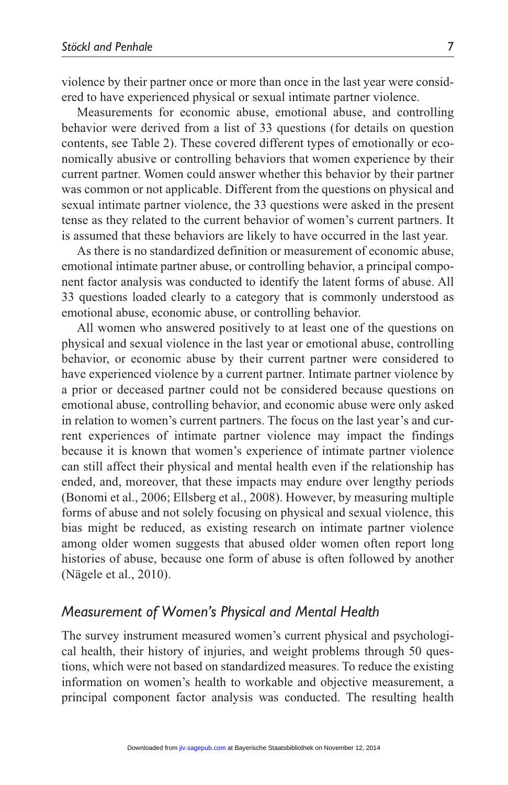violence by their partner once or more than once in the last year were considered to have experienced physical or sexual intimate partner violence.

Measurements for economic abuse, emotional abuse, and controlling behavior were derived from a list of 33 questions (for details on question contents, see Table 2). These covered different types of emotionally or economically abusive or controlling behaviors that women experience by their current partner. Women could answer whether this behavior by their partner was common or not applicable. Different from the questions on physical and sexual intimate partner violence, the 33 questions were asked in the present tense as they related to the current behavior of women's current partners. It is assumed that these behaviors are likely to have occurred in the last year.

As there is no standardized definition or measurement of economic abuse, emotional intimate partner abuse, or controlling behavior, a principal component factor analysis was conducted to identify the latent forms of abuse. All 33 questions loaded clearly to a category that is commonly understood as emotional abuse, economic abuse, or controlling behavior.

All women who answered positively to at least one of the questions on physical and sexual violence in the last year or emotional abuse, controlling behavior, or economic abuse by their current partner were considered to have experienced violence by a current partner. Intimate partner violence by a prior or deceased partner could not be considered because questions on emotional abuse, controlling behavior, and economic abuse were only asked in relation to women's current partners. The focus on the last year's and current experiences of intimate partner violence may impact the findings because it is known that women's experience of intimate partner violence can still affect their physical and mental health even if the relationship has ended, and, moreover, that these impacts may endure over lengthy periods (Bonomi et al., 2006; Ellsberg et al., 2008). However, by measuring multiple forms of abuse and not solely focusing on physical and sexual violence, this bias might be reduced, as existing research on intimate partner violence among older women suggests that abused older women often report long histories of abuse, because one form of abuse is often followed by another (Nägele et al., 2010).

## *Measurement of Women's Physical and Mental Health*

The survey instrument measured women's current physical and psychological health, their history of injuries, and weight problems through 50 questions, which were not based on standardized measures. To reduce the existing information on women's health to workable and objective measurement, a principal component factor analysis was conducted. The resulting health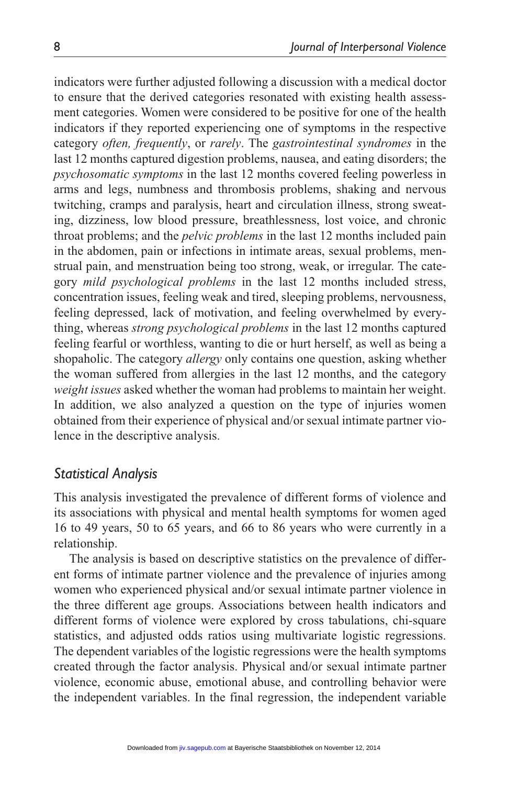indicators were further adjusted following a discussion with a medical doctor to ensure that the derived categories resonated with existing health assessment categories. Women were considered to be positive for one of the health indicators if they reported experiencing one of symptoms in the respective category *often, frequently*, or *rarely*. The *gastrointestinal syndromes* in the last 12 months captured digestion problems, nausea, and eating disorders; the *psychosomatic symptoms* in the last 12 months covered feeling powerless in arms and legs, numbness and thrombosis problems, shaking and nervous twitching, cramps and paralysis, heart and circulation illness, strong sweating, dizziness, low blood pressure, breathlessness, lost voice, and chronic throat problems; and the *pelvic problems* in the last 12 months included pain in the abdomen, pain or infections in intimate areas, sexual problems, menstrual pain, and menstruation being too strong, weak, or irregular. The category *mild psychological problems* in the last 12 months included stress, concentration issues, feeling weak and tired, sleeping problems, nervousness, feeling depressed, lack of motivation, and feeling overwhelmed by everything, whereas *strong psychological problems* in the last 12 months captured feeling fearful or worthless, wanting to die or hurt herself, as well as being a shopaholic. The category *allergy* only contains one question, asking whether the woman suffered from allergies in the last 12 months, and the category *weight issues* asked whether the woman had problems to maintain her weight. In addition, we also analyzed a question on the type of injuries women obtained from their experience of physical and/or sexual intimate partner violence in the descriptive analysis.

## *Statistical Analysis*

This analysis investigated the prevalence of different forms of violence and its associations with physical and mental health symptoms for women aged 16 to 49 years, 50 to 65 years, and 66 to 86 years who were currently in a relationship.

The analysis is based on descriptive statistics on the prevalence of different forms of intimate partner violence and the prevalence of injuries among women who experienced physical and/or sexual intimate partner violence in the three different age groups. Associations between health indicators and different forms of violence were explored by cross tabulations, chi-square statistics, and adjusted odds ratios using multivariate logistic regressions. The dependent variables of the logistic regressions were the health symptoms created through the factor analysis. Physical and/or sexual intimate partner violence, economic abuse, emotional abuse, and controlling behavior were the independent variables. In the final regression, the independent variable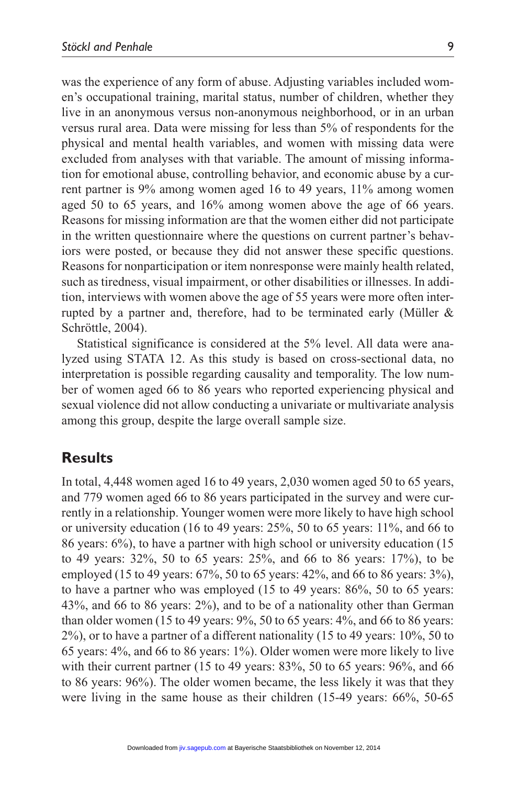was the experience of any form of abuse. Adjusting variables included women's occupational training, marital status, number of children, whether they live in an anonymous versus non-anonymous neighborhood, or in an urban versus rural area. Data were missing for less than 5% of respondents for the physical and mental health variables, and women with missing data were excluded from analyses with that variable. The amount of missing information for emotional abuse, controlling behavior, and economic abuse by a current partner is 9% among women aged 16 to 49 years, 11% among women aged 50 to 65 years, and 16% among women above the age of 66 years. Reasons for missing information are that the women either did not participate in the written questionnaire where the questions on current partner's behaviors were posted, or because they did not answer these specific questions. Reasons for nonparticipation or item nonresponse were mainly health related, such as tiredness, visual impairment, or other disabilities or illnesses. In addition, interviews with women above the age of 55 years were more often interrupted by a partner and, therefore, had to be terminated early (Müller & Schröttle, 2004).

Statistical significance is considered at the 5% level. All data were analyzed using STATA 12. As this study is based on cross-sectional data, no interpretation is possible regarding causality and temporality. The low number of women aged 66 to 86 years who reported experiencing physical and sexual violence did not allow conducting a univariate or multivariate analysis among this group, despite the large overall sample size.

## **Results**

In total, 4,448 women aged 16 to 49 years, 2,030 women aged 50 to 65 years, and 779 women aged 66 to 86 years participated in the survey and were currently in a relationship. Younger women were more likely to have high school or university education (16 to 49 years:  $25\%$ , 50 to 65 years:  $11\%$ , and 66 to 86 years: 6%), to have a partner with high school or university education (15 to 49 years: 32%, 50 to 65 years: 25%, and 66 to 86 years: 17%), to be employed (15 to 49 years: 67%, 50 to 65 years: 42%, and 66 to 86 years: 3%), to have a partner who was employed (15 to 49 years: 86%, 50 to 65 years: 43%, and 66 to 86 years: 2%), and to be of a nationality other than German than older women (15 to 49 years: 9%, 50 to 65 years: 4%, and 66 to 86 years: 2%), or to have a partner of a different nationality (15 to 49 years: 10%, 50 to 65 years: 4%, and 66 to 86 years: 1%). Older women were more likely to live with their current partner (15 to 49 years: 83%, 50 to 65 years: 96%, and 66 to 86 years: 96%). The older women became, the less likely it was that they were living in the same house as their children (15-49 years: 66%, 50-65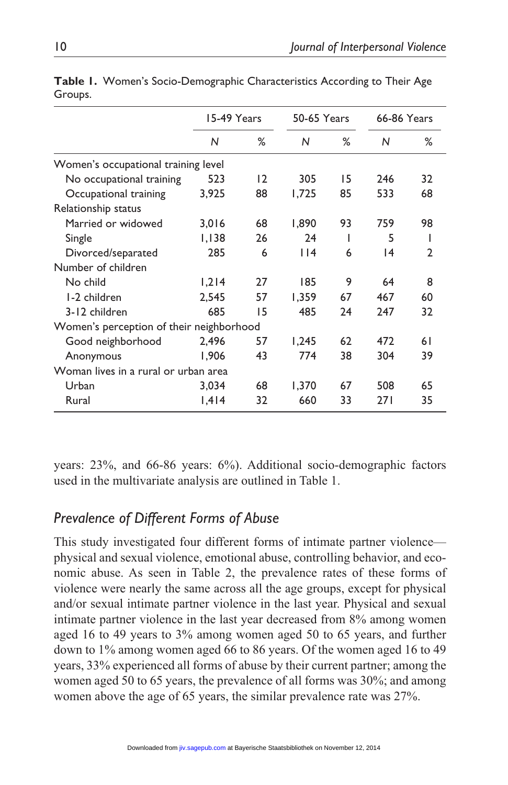|                                          | 15-49 Years  |    | 50-65 Years |    | 66-86 Years |                |
|------------------------------------------|--------------|----|-------------|----|-------------|----------------|
|                                          | $\mathsf{N}$ | %  | N           | %  | N           | ℅              |
| Women's occupational training level      |              |    |             |    |             |                |
| No occupational training                 | 523          | 12 | 305         | 15 | 246         | 32             |
| Occupational training                    | 3,925        | 88 | 1,725       | 85 | 533         | 68             |
| Relationship status                      |              |    |             |    |             |                |
| Married or widowed                       | 3,016        | 68 | 1,890       | 93 | 759         | 98             |
| Single                                   | 1,138        | 26 | 24          | ı  | 5           |                |
| Divorced/separated                       | 285          | 6  | $ $  4      | 6  | 4           | $\mathfrak{p}$ |
| Number of children                       |              |    |             |    |             |                |
| No child                                 | 1,214        | 27 | 185         | 9  | 64          | 8              |
| I-2 children                             | 2,545        | 57 | 1,359       | 67 | 467         | 60             |
| 3-12 children                            | 685          | 15 | 485         | 24 | 247         | 32             |
| Women's perception of their neighborhood |              |    |             |    |             |                |
| Good neighborhood                        | 2,496        | 57 | 1,245       | 62 | 472         | 61             |
| Anonymous                                | 1,906        | 43 | 774         | 38 | 304         | 39             |
| Woman lives in a rural or urban area     |              |    |             |    |             |                |
| Urban                                    | 3.034        | 68 | 1,370       | 67 | 508         | 65             |
| Rural                                    | 1,414        | 32 | 660         | 33 | 271         | 35             |

**Table 1.** Women's Socio-Demographic Characteristics According to Their Age Groups.

years: 23%, and 66-86 years: 6%). Additional socio-demographic factors used in the multivariate analysis are outlined in Table 1.

# *Prevalence of Different Forms of Abuse*

This study investigated four different forms of intimate partner violence physical and sexual violence, emotional abuse, controlling behavior, and economic abuse. As seen in Table 2, the prevalence rates of these forms of violence were nearly the same across all the age groups, except for physical and/or sexual intimate partner violence in the last year. Physical and sexual intimate partner violence in the last year decreased from 8% among women aged 16 to 49 years to 3% among women aged 50 to 65 years, and further down to 1% among women aged 66 to 86 years. Of the women aged 16 to 49 years, 33% experienced all forms of abuse by their current partner; among the women aged 50 to 65 years, the prevalence of all forms was 30%; and among women above the age of 65 years, the similar prevalence rate was 27%.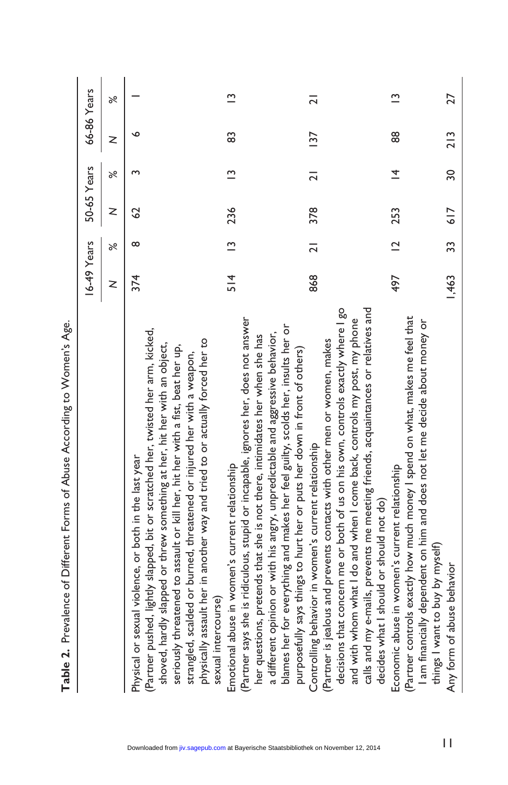|                                                                                                     | 16-49 Years     |                |     | 50-65 Years     | 66-86 Years     |    |
|-----------------------------------------------------------------------------------------------------|-----------------|----------------|-----|-----------------|-----------------|----|
|                                                                                                     |                 |                |     |                 | z               |    |
|                                                                                                     | z               | ৯ৎ             | z   | ৯ৎ              |                 | ৯ৎ |
| Physical or sexual violence, or both in the last year                                               | $\frac{374}{5}$ | $\infty$       | 2S  |                 |                 |    |
| (Partner pushed, lightly slapped, bit or scratched her, twisted her arm, kicked,                    |                 |                |     |                 |                 |    |
| shoved, hardly slapped or threw something at her, hit her with an object,                           |                 |                |     |                 |                 |    |
| seriously threatened to assault or kill her, hit her with a fist, beat her up,                      |                 |                |     |                 |                 |    |
| strangled, scalded or burned, threatened or injured her with a weapon,                              |                 |                |     |                 |                 |    |
| physically assault her in another way and tried to or actually forced her to<br>sexual intercourse) |                 |                |     |                 |                 |    |
| Emotional abuse in women's current relationship                                                     | 514             | $\tilde{=}$    | 236 | $\tilde{ }$     | 83              |    |
| (Partner says she is ridiculous, stupid or incapable, ignores her, does not answer                  |                 |                |     |                 |                 |    |
| her questions, pretends that she is not there, intimidates her when she has                         |                 |                |     |                 |                 |    |
| a different opinion or with his angry, unpredictable and aggressive behavior,                       |                 |                |     |                 |                 |    |
| blames her for everything and makes her feel guilty, scolds her, insults her or                     |                 |                |     |                 |                 |    |
| purposefully says things to hurt her or puts her down in front of others)                           |                 |                |     |                 |                 |    |
| Controlling behavior in women's current relationship                                                | 868             |                | 378 | $\overline{2}$  | $\overline{37}$ |    |
| (Partner is jealous and prevents contacts with other men or women, makes                            |                 |                |     |                 |                 |    |
| decisions that concern me or both of us on his own, controls exactly where I go                     |                 |                |     |                 |                 |    |
| and with whom what I do and when I come back, controls my post, my phone                            |                 |                |     |                 |                 |    |
| calls and my e-mails, prevents me meeting friends, acquaintances or relatives and                   |                 |                |     |                 |                 |    |
| decides what I should or should not do)                                                             |                 |                |     |                 |                 |    |
| Economic abuse in women's current relationship                                                      | 497             | $\overline{C}$ | 253 | $\overline{4}$  | 88              |    |
| (Partner controls exactly how much money I spend on what, makes me feel that                        |                 |                |     |                 |                 |    |
| I am financially dependent on him and does not let me decide about money or                         |                 |                |     |                 |                 |    |
| things I want to buy by myself)                                                                     |                 |                |     |                 |                 |    |
| Any form of abuse behavior                                                                          | 1,463           | 33             | 617 | $\overline{30}$ | $\frac{2}{3}$   | 27 |

Table 2. Prevalence of Different Forms of Abuse According to Women's Age. **Table 2.** Prevalence of Different Forms of Abuse According to Women's Age.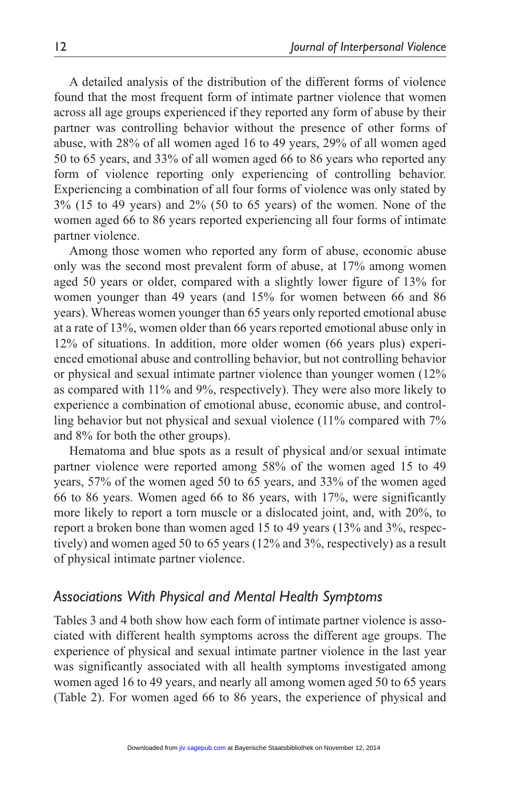A detailed analysis of the distribution of the different forms of violence found that the most frequent form of intimate partner violence that women across all age groups experienced if they reported any form of abuse by their partner was controlling behavior without the presence of other forms of abuse, with 28% of all women aged 16 to 49 years, 29% of all women aged 50 to 65 years, and 33% of all women aged 66 to 86 years who reported any form of violence reporting only experiencing of controlling behavior. Experiencing a combination of all four forms of violence was only stated by 3% (15 to 49 years) and 2% (50 to 65 years) of the women. None of the women aged 66 to 86 years reported experiencing all four forms of intimate partner violence.

Among those women who reported any form of abuse, economic abuse only was the second most prevalent form of abuse, at 17% among women aged 50 years or older, compared with a slightly lower figure of 13% for women younger than 49 years (and 15% for women between 66 and 86 years). Whereas women younger than 65 years only reported emotional abuse at a rate of 13%, women older than 66 years reported emotional abuse only in 12% of situations. In addition, more older women (66 years plus) experienced emotional abuse and controlling behavior, but not controlling behavior or physical and sexual intimate partner violence than younger women (12% as compared with 11% and 9%, respectively). They were also more likely to experience a combination of emotional abuse, economic abuse, and controlling behavior but not physical and sexual violence (11% compared with 7% and 8% for both the other groups).

Hematoma and blue spots as a result of physical and/or sexual intimate partner violence were reported among 58% of the women aged 15 to 49 years, 57% of the women aged 50 to 65 years, and 33% of the women aged 66 to 86 years. Women aged 66 to 86 years, with 17%, were significantly more likely to report a torn muscle or a dislocated joint, and, with 20%, to report a broken bone than women aged 15 to 49 years (13% and 3%, respectively) and women aged 50 to 65 years (12% and 3%, respectively) as a result of physical intimate partner violence.

## *Associations With Physical and Mental Health Symptoms*

Tables 3 and 4 both show how each form of intimate partner violence is associated with different health symptoms across the different age groups. The experience of physical and sexual intimate partner violence in the last year was significantly associated with all health symptoms investigated among women aged 16 to 49 years, and nearly all among women aged 50 to 65 years (Table 2). For women aged 66 to 86 years, the experience of physical and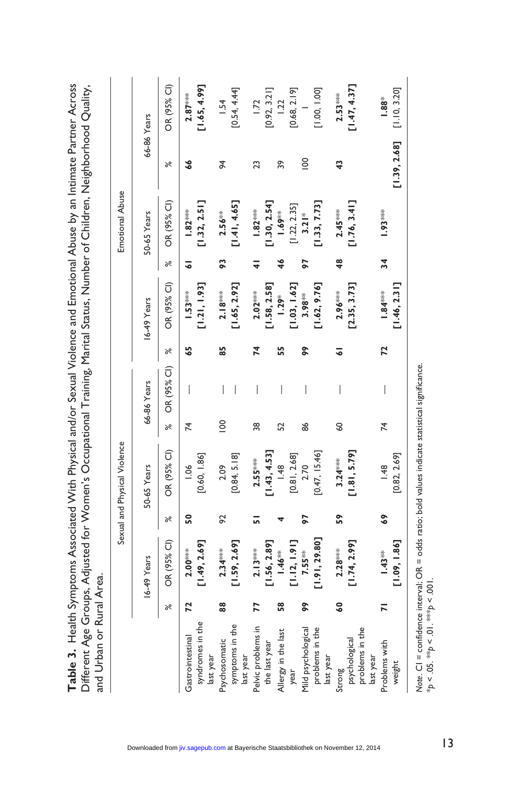| $\aleph$                                                     |                            |           | Sexual and Physical Violence |                |             |           |                           |                | Emotional Abuse           |               |                           |
|--------------------------------------------------------------|----------------------------|-----------|------------------------------|----------------|-------------|-----------|---------------------------|----------------|---------------------------|---------------|---------------------------|
|                                                              | 16-49 Years                |           | 50-65 Years                  |                | 66-86 Years |           | 16-49 Years               |                | 50-65 Years               |               | 66-86 Years               |
|                                                              | OR (95% CI)                | $\approx$ | OR (95% CI)                  | $\aleph$       | OR (95% CI) | $\approx$ | OR (95% CI)               | $\approx$      | OR (95% CI)               | ৯ৎ            | OR (95% CI)               |
| 72<br>syndromes in the<br>Gastrointestinal<br>last year      | [1.49, 2.69]<br>$2.00***$  | S0        | [0.60, 1.86]<br>$-0.1$       | 74             |             | 65        | [1.21, 1.93]<br>$1.53***$ | 5              | [1.32, 2.51]<br>$1.82***$ | \$            | [1.65, 4.99]<br>$2.87***$ |
| 88<br>symptoms in the<br>Psychosomatic<br>last year          | [1.59, 2.69]<br>$2.34***$  | 92        | [0.84, 5.18]<br>2.09         | $\overline{0}$ | I           | 85        | [1.65, 2.92]<br>$2.18***$ | 93             | [1.41, 4.65]<br>$2.56***$ | $\frac{4}{5}$ | [0.54, 4.44]<br>1.54      |
| 77<br>Pelvic problems in<br>the last year                    | 1.56, 2.89]<br>$2.13***$   | 5         | [1.43, 4.53]<br>$2.55***$    | 38             | I           | $^{14}$   | [1.58, 2.58]<br>$2.02***$ | $\overline{4}$ | [1.30, 2.54]<br>$1.82***$ | ది            | [0.92, 3.21]<br>1.72      |
| 58<br>Allergy in the last<br>year                            | 1.12, 1.91<br>$1.46**$     |           | [0.81, 2.68]<br>$-1.48$      | 52             | I           | ĸ         | [1.03, 1.62]<br>$1.29*$   |                | [1.22, 2.35]<br>$1.69**$  | 39            | [0.68, 2.19]<br>1.22      |
| 8<br>Mild psychological<br>problems in the<br>last year      | [1.91, 29.80]<br>$7.55***$ | 5         | [0.47, 15.46]<br>2.70        | 86             | I           | 66        | [1.62, 9.76]<br>$3.98***$ | 56             | [1.33, 7.73]<br>$3.21*$   | $\frac{8}{1}$ | [1.00, 1.00]              |
| 9<br>problems in the<br>psychological<br>last year<br>Strong | [1.74, 2.99]<br>$2.28***$  | 59        | [1.81, 5.79]<br>$3.24***$    | SO             |             | ತ         | [2.35, 3.73]<br>$2.96***$ | $\frac{8}{3}$  | [1.76, 3.41]<br>$2.45***$ | 43            | [1.47, 4.37]<br>$2.53***$ |
| ≂<br>Problems with<br>weight                                 | [1.09, 1.86]<br>$1.43***$  | \$9       | [0.82, 2.69]<br>1.48         | 74             |             | 72        | [1.46, 2.31]<br>$1.84***$ | 34             | $1.93***$                 | [1.39, 2.68]  | [1.10, 3.20]<br>$1.88^*$  |

Table 3. Health Symptoms Associated With Physical and/or Sexual Violence and Emotional Abuse by an Intimate Partner Across **Table 3.** Health Symptoms Associated With Physical and/or Sexual Violence and Emotional Abuse by an Intimate Partner Across Different Age Groups, Adjusted for Women's Occupational Training, Marital Status, Number of Children, Neighborhood Quality, Different Age Groups, Adjusted for Women's Occupational Training, Marital Status, Number of Children, Neighborhood Quality,

*Note*. CI = confidence interval; OR = odds ratio; bold values indicate statistical significance.

\**p* < .05. \*\**p* < .01. \*\*\**p* < .001.

 $*p < .05$ ,  $*p < .01$ ,  $*^{*p}p < .001$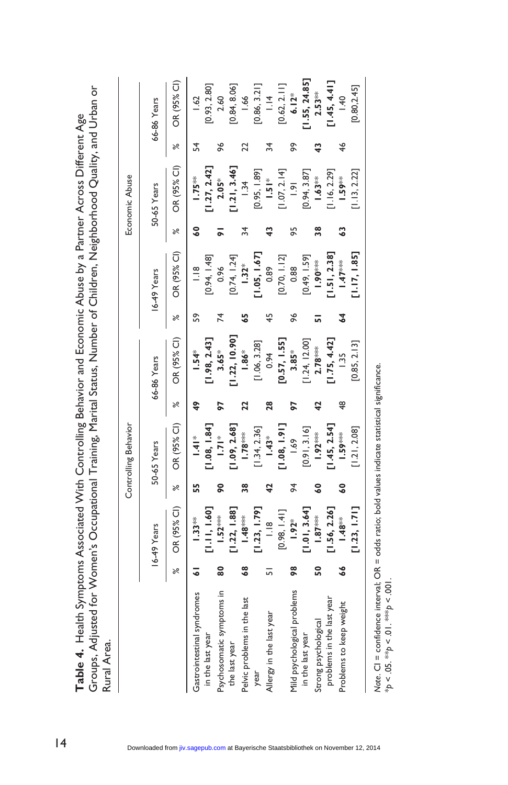|                             |               |                |           | Controlling Behavior |                |               |    |               |    | Economic Abuse |               |                |
|-----------------------------|---------------|----------------|-----------|----------------------|----------------|---------------|----|---------------|----|----------------|---------------|----------------|
|                             |               | 16-49 Years    |           | 50-65 Years          |                | 66-86 Years   |    | 16-49 Years   |    | 50-65 Years    |               | 66-86 Years    |
|                             | ৯ৎ            | OR (95% CI)    | $\approx$ | OR (95% CI)          | ৯ৎ             | OR (95% CI)   | ৯ৎ | OR (95% CI)   | ৯ৎ | OR (95% CI)    | $\approx$     | OR (95% CI)    |
| Gastrointestinal syndromes  | ತ             | $1.33***$      | 5S        | $\frac{14}{1}$       | $\frac{4}{3}$  | $1.54*$       | S9 | $\frac{8}{1}$ | SO | $1.75***$      | 24            | 1.62           |
| in the last year            |               | [1.11, 1.60]   |           | [1.08, 1.84]         |                | [1.98, 2.43]  |    | [0.94, 1.48]  |    | [1.27, 2.42]   |               | $0.93, 2.80$ ] |
| Psychosomatic symptoms in   | 80            | $1.52***$      | ຂ         | $\frac{1}{2}$        | 56             | $3.65*$       | 74 | 0.96          | ឝ  | $2.05*$        | 96            | 2.60           |
| the last year               |               | $1.22, 1.88$ ] |           | [1.09, 2.68]         |                | [1.22, 10.90] |    | [0.74, 1.24]  |    | $1.21, 3.46$ ] |               | [0.84, 8.06]   |
| Pelvic problems in the last | $\frac{8}{5}$ | $1.48***$      | 38        | $1.78***$            | $\overline{2}$ | $1.86*$       | 55 | $1.32*$       | 34 | 1.34           | 22            | 1.66           |
| year                        |               | [1.23, 1.79]   |           | 134, 2.36]           |                | [1.06, 3.28]  |    | [1.05, 1.67]  |    | [0.95, 1.89]   |               | $0.86, 3.21$ ] |
| Allergy in the last year    | ᇚ             | $\frac{8}{1}$  | 42        | $1.43*$              | 28             | 0.94          | 45 | 0.89          |    | $1.51*$        | 34            | 1.14           |
|                             |               | [0.98, 1.41]   |           | [1.08, 1.91]         |                | [0.57, 1.55]  |    | [0.70, 1.12]  |    | $1.07, 2.14$ ] |               | [0.62, 2.11]   |
| Mild psychological problems | 8             | $1.92*$        | 34        | 1.69                 | 56             | $3.85*$       | 96 | 0.88          | 50 | $\overline{5}$ | ဇွ            | $6.12*$        |
| in the last year            |               | [1.01, 3.64]   |           | 0.91, 3.16           |                | 1.24, 12.00   |    | [0.49, 1.59]  |    | 0.94, 3.87     |               | 1.55, 24.85]   |
| Strong psychological        | SO            | $1.87***$      | ៜ         | $1.92***$            |                | $2.78***$     |    | $1.90***$     | జ  | $1.63**$       | 43            | $2.53***$      |
| problems in the last year   |               | $1.56, 2.26$ ] |           | $1.45, 2.54$ ]       |                | 1.75, 4.42    |    | [1.51, 2.38]  |    | .16, 2.29      |               | [1.45, 4.41]   |
| Problems to keep weight     | 89            | $1.48**$       | 9         | $1.59***$            | ≇              | <b>1.35</b>   | 34 | $1.47***$     | 3  | $1.59***$      | $\frac{4}{6}$ | 1.40           |
|                             |               | [1.23, 1.71]   |           | 1.21, 2.08           |                | [0.85, 2.13]  |    | [1.17, 1.85]  |    | 1.13, 2.22     |               | [0.80, 2.45]   |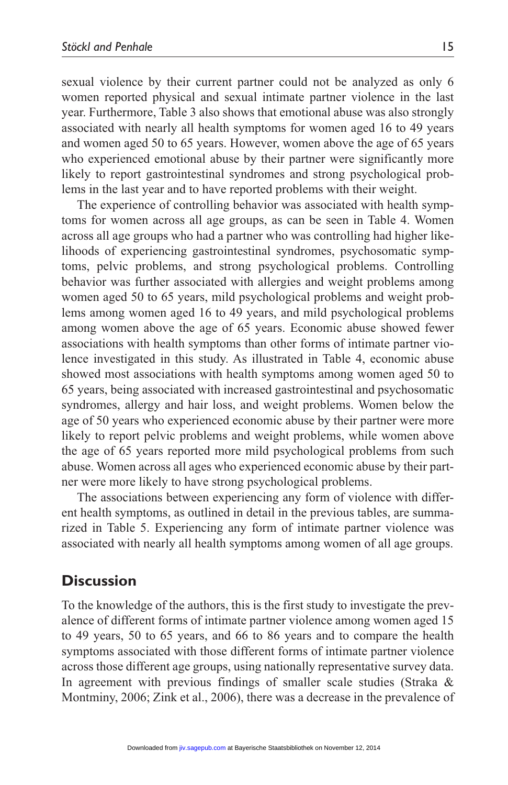sexual violence by their current partner could not be analyzed as only 6 women reported physical and sexual intimate partner violence in the last year. Furthermore, Table 3 also shows that emotional abuse was also strongly associated with nearly all health symptoms for women aged 16 to 49 years and women aged 50 to 65 years. However, women above the age of 65 years who experienced emotional abuse by their partner were significantly more likely to report gastrointestinal syndromes and strong psychological problems in the last year and to have reported problems with their weight.

The experience of controlling behavior was associated with health symptoms for women across all age groups, as can be seen in Table 4. Women across all age groups who had a partner who was controlling had higher likelihoods of experiencing gastrointestinal syndromes, psychosomatic symptoms, pelvic problems, and strong psychological problems. Controlling behavior was further associated with allergies and weight problems among women aged 50 to 65 years, mild psychological problems and weight problems among women aged 16 to 49 years, and mild psychological problems among women above the age of 65 years. Economic abuse showed fewer associations with health symptoms than other forms of intimate partner violence investigated in this study. As illustrated in Table 4, economic abuse showed most associations with health symptoms among women aged 50 to 65 years, being associated with increased gastrointestinal and psychosomatic syndromes, allergy and hair loss, and weight problems. Women below the age of 50 years who experienced economic abuse by their partner were more likely to report pelvic problems and weight problems, while women above the age of 65 years reported more mild psychological problems from such abuse. Women across all ages who experienced economic abuse by their partner were more likely to have strong psychological problems.

The associations between experiencing any form of violence with different health symptoms, as outlined in detail in the previous tables, are summarized in Table 5. Experiencing any form of intimate partner violence was associated with nearly all health symptoms among women of all age groups.

## **Discussion**

To the knowledge of the authors, this is the first study to investigate the prevalence of different forms of intimate partner violence among women aged 15 to 49 years, 50 to 65 years, and 66 to 86 years and to compare the health symptoms associated with those different forms of intimate partner violence across those different age groups, using nationally representative survey data. In agreement with previous findings of smaller scale studies (Straka & Montminy, 2006; Zink et al., 2006), there was a decrease in the prevalence of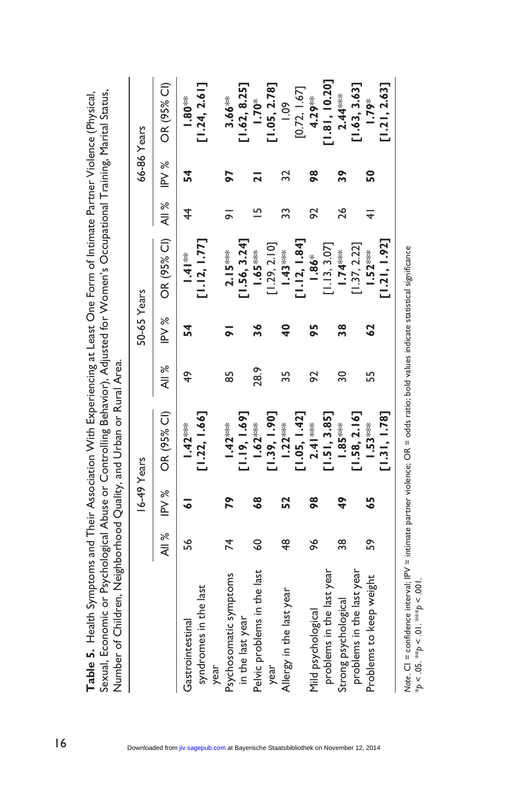|                                                      |                | 16-49 Years   |                           |               | 50-65 Years    |                           |                | 66-86 Years   |                                         |
|------------------------------------------------------|----------------|---------------|---------------------------|---------------|----------------|---------------------------|----------------|---------------|-----------------------------------------|
|                                                      | All %          | IPV %         | OR (95% CI)               | All %         | IPV %          | OR (95% CI)               | All %          | IPV %         | OR (95% CI)                             |
| syndromes in the last<br>Gastrointestinal<br>year    | 56             | ۰o            | [1.22, 1.66]<br>$1.42***$ | $\frac{6}{7}$ | 54             | [1.12, 1.77]<br>$1.41**$  | 4              | 54            | [1.24, 2.61]<br>$1.80***$               |
| Psychosomatic symptoms<br>in the last year           | $\overline{7}$ | 79            | [1.19, 1.69]<br>$1.42***$ | 85            | $\overline{5}$ | [1.56, 3.24]<br>$2.15***$ | $\overline{5}$ | 76            | [1.62, 8.25]<br>$3.66***$               |
| Pelvic problems in the last                          | SO             | 68            | [1.39, 1.90]<br>$1.62***$ | 28.9          | 36             | [1.29, 2.10]<br>$1.65***$ | 으              | ಸ             | [1.05, 2.78]<br>$-70*$                  |
| Allergy in the last year<br>year                     | $\frac{8}{4}$  | 52            | [1.05, 1.42]<br>$1.22***$ | 35            | $\frac{4}{3}$  | [1.12, 1.84]<br>$1.43***$ | 33             | 32            | [0.72, 1.67]<br>$\frac{80}{1}$          |
| problems in the last year<br>Mild psychological      | 96             | 98            | [1.51, 3.85]<br>$2.41***$ | 92            | 95             | [1.13, 3.07]<br>$1.86*$   | 92             | $\frac{8}{2}$ | [1.81, 10.20]<br>$4.29**$               |
| Strong psychological                                 | 38             | $\frac{6}{7}$ | [1.58, 2.16]<br>$1.85***$ | 30            | 38             | [1.37, 2.22]<br>$1.74***$ | 26             | 39            | $2.44***$                               |
| problems in the last year<br>Problems to keep weight | 59             | 65            | [1.31, 1.78]<br>$1.53***$ | 55            | 62             | [1.21, 1.92]<br>$1.52***$ | ╤              | S             | [1.63, 3.63]<br>[1.21, 2.63]<br>$1.79*$ |

16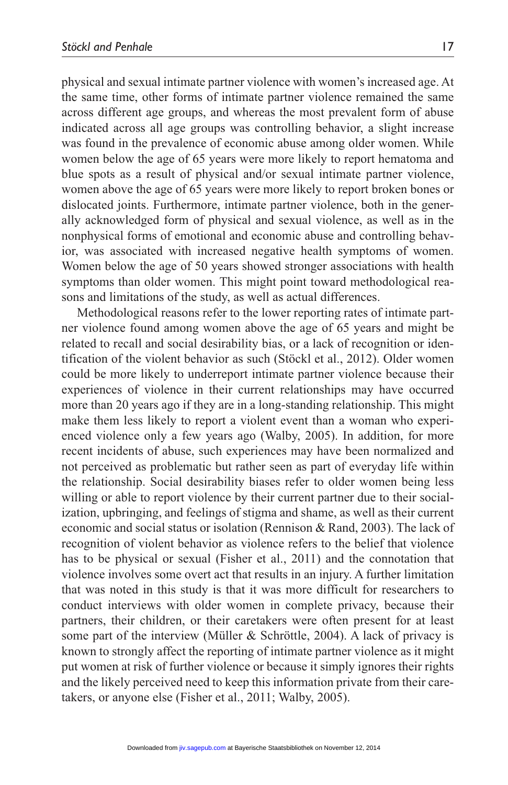physical and sexual intimate partner violence with women's increased age. At the same time, other forms of intimate partner violence remained the same across different age groups, and whereas the most prevalent form of abuse indicated across all age groups was controlling behavior, a slight increase was found in the prevalence of economic abuse among older women. While women below the age of 65 years were more likely to report hematoma and blue spots as a result of physical and/or sexual intimate partner violence, women above the age of 65 years were more likely to report broken bones or dislocated joints. Furthermore, intimate partner violence, both in the generally acknowledged form of physical and sexual violence, as well as in the nonphysical forms of emotional and economic abuse and controlling behavior, was associated with increased negative health symptoms of women. Women below the age of 50 years showed stronger associations with health symptoms than older women. This might point toward methodological reasons and limitations of the study, as well as actual differences.

Methodological reasons refer to the lower reporting rates of intimate partner violence found among women above the age of 65 years and might be related to recall and social desirability bias, or a lack of recognition or identification of the violent behavior as such (Stöckl et al., 2012). Older women could be more likely to underreport intimate partner violence because their experiences of violence in their current relationships may have occurred more than 20 years ago if they are in a long-standing relationship. This might make them less likely to report a violent event than a woman who experienced violence only a few years ago (Walby, 2005). In addition, for more recent incidents of abuse, such experiences may have been normalized and not perceived as problematic but rather seen as part of everyday life within the relationship. Social desirability biases refer to older women being less willing or able to report violence by their current partner due to their socialization, upbringing, and feelings of stigma and shame, as well as their current economic and social status or isolation (Rennison & Rand, 2003). The lack of recognition of violent behavior as violence refers to the belief that violence has to be physical or sexual (Fisher et al., 2011) and the connotation that violence involves some overt act that results in an injury. A further limitation that was noted in this study is that it was more difficult for researchers to conduct interviews with older women in complete privacy, because their partners, their children, or their caretakers were often present for at least some part of the interview (Müller & Schröttle, 2004). A lack of privacy is known to strongly affect the reporting of intimate partner violence as it might put women at risk of further violence or because it simply ignores their rights and the likely perceived need to keep this information private from their caretakers, or anyone else (Fisher et al., 2011; Walby, 2005).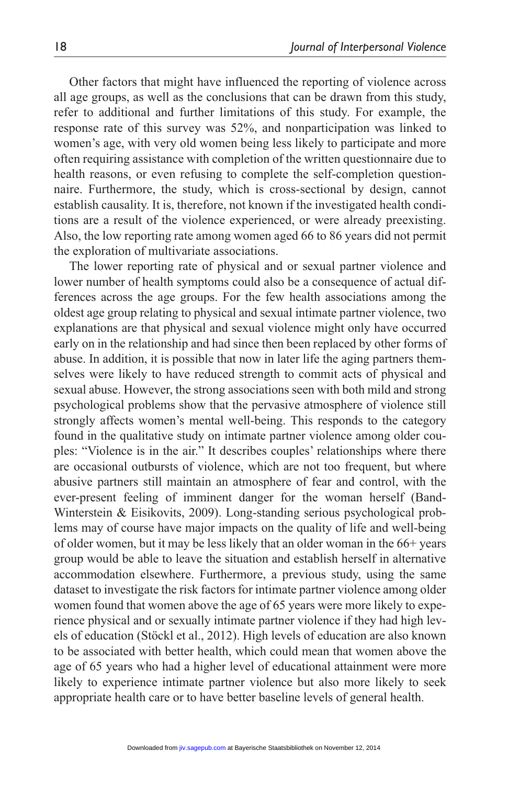Other factors that might have influenced the reporting of violence across all age groups, as well as the conclusions that can be drawn from this study, refer to additional and further limitations of this study. For example, the response rate of this survey was 52%, and nonparticipation was linked to women's age, with very old women being less likely to participate and more often requiring assistance with completion of the written questionnaire due to health reasons, or even refusing to complete the self-completion questionnaire. Furthermore, the study, which is cross-sectional by design, cannot establish causality. It is, therefore, not known if the investigated health conditions are a result of the violence experienced, or were already preexisting. Also, the low reporting rate among women aged 66 to 86 years did not permit the exploration of multivariate associations.

The lower reporting rate of physical and or sexual partner violence and lower number of health symptoms could also be a consequence of actual differences across the age groups. For the few health associations among the oldest age group relating to physical and sexual intimate partner violence, two explanations are that physical and sexual violence might only have occurred early on in the relationship and had since then been replaced by other forms of abuse. In addition, it is possible that now in later life the aging partners themselves were likely to have reduced strength to commit acts of physical and sexual abuse. However, the strong associations seen with both mild and strong psychological problems show that the pervasive atmosphere of violence still strongly affects women's mental well-being. This responds to the category found in the qualitative study on intimate partner violence among older couples: "Violence is in the air." It describes couples' relationships where there are occasional outbursts of violence, which are not too frequent, but where abusive partners still maintain an atmosphere of fear and control, with the ever-present feeling of imminent danger for the woman herself (Band-Winterstein & Eisikovits, 2009). Long-standing serious psychological problems may of course have major impacts on the quality of life and well-being of older women, but it may be less likely that an older woman in the 66+ years group would be able to leave the situation and establish herself in alternative accommodation elsewhere. Furthermore, a previous study, using the same dataset to investigate the risk factors for intimate partner violence among older women found that women above the age of 65 years were more likely to experience physical and or sexually intimate partner violence if they had high levels of education (Stöckl et al., 2012). High levels of education are also known to be associated with better health, which could mean that women above the age of 65 years who had a higher level of educational attainment were more likely to experience intimate partner violence but also more likely to seek appropriate health care or to have better baseline levels of general health.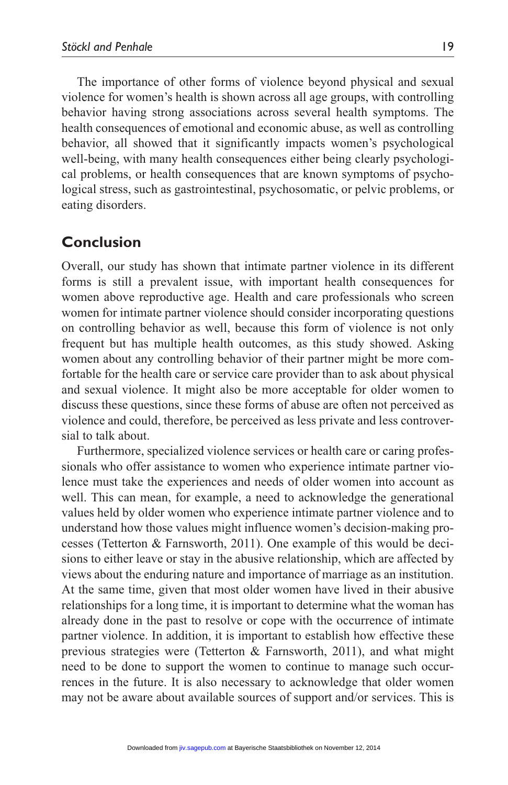The importance of other forms of violence beyond physical and sexual violence for women's health is shown across all age groups, with controlling behavior having strong associations across several health symptoms. The health consequences of emotional and economic abuse, as well as controlling behavior, all showed that it significantly impacts women's psychological well-being, with many health consequences either being clearly psychological problems, or health consequences that are known symptoms of psychological stress, such as gastrointestinal, psychosomatic, or pelvic problems, or eating disorders.

# **Conclusion**

Overall, our study has shown that intimate partner violence in its different forms is still a prevalent issue, with important health consequences for women above reproductive age. Health and care professionals who screen women for intimate partner violence should consider incorporating questions on controlling behavior as well, because this form of violence is not only frequent but has multiple health outcomes, as this study showed. Asking women about any controlling behavior of their partner might be more comfortable for the health care or service care provider than to ask about physical and sexual violence. It might also be more acceptable for older women to discuss these questions, since these forms of abuse are often not perceived as violence and could, therefore, be perceived as less private and less controversial to talk about.

Furthermore, specialized violence services or health care or caring professionals who offer assistance to women who experience intimate partner violence must take the experiences and needs of older women into account as well. This can mean, for example, a need to acknowledge the generational values held by older women who experience intimate partner violence and to understand how those values might influence women's decision-making processes (Tetterton & Farnsworth, 2011). One example of this would be decisions to either leave or stay in the abusive relationship, which are affected by views about the enduring nature and importance of marriage as an institution. At the same time, given that most older women have lived in their abusive relationships for a long time, it is important to determine what the woman has already done in the past to resolve or cope with the occurrence of intimate partner violence. In addition, it is important to establish how effective these previous strategies were (Tetterton & Farnsworth, 2011), and what might need to be done to support the women to continue to manage such occurrences in the future. It is also necessary to acknowledge that older women may not be aware about available sources of support and/or services. This is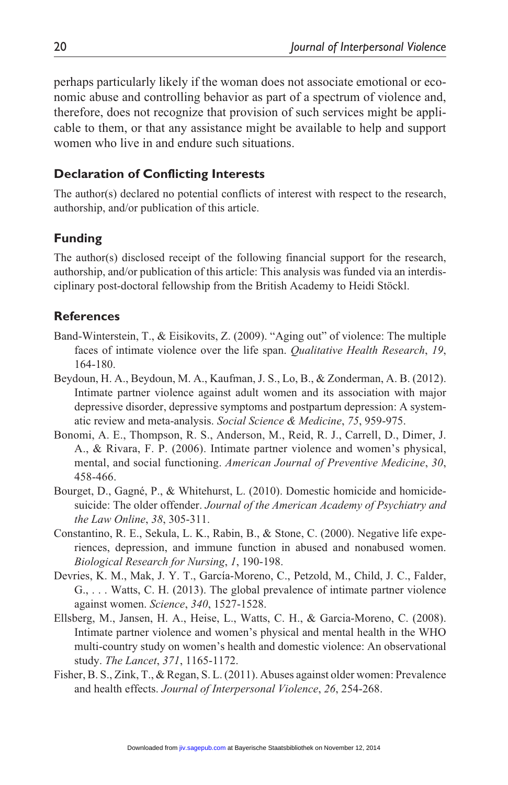perhaps particularly likely if the woman does not associate emotional or economic abuse and controlling behavior as part of a spectrum of violence and, therefore, does not recognize that provision of such services might be applicable to them, or that any assistance might be available to help and support women who live in and endure such situations.

#### **Declaration of Conflicting Interests**

The author(s) declared no potential conflicts of interest with respect to the research, authorship, and/or publication of this article.

#### **Funding**

The author(s) disclosed receipt of the following financial support for the research, authorship, and/or publication of this article: This analysis was funded via an interdisciplinary post-doctoral fellowship from the British Academy to Heidi Stöckl.

#### **References**

- Band-Winterstein, T., & Eisikovits, Z. (2009). "Aging out" of violence: The multiple faces of intimate violence over the life span. *Qualitative Health Research*, *19*, 164-180.
- Beydoun, H. A., Beydoun, M. A., Kaufman, J. S., Lo, B., & Zonderman, A. B. (2012). Intimate partner violence against adult women and its association with major depressive disorder, depressive symptoms and postpartum depression: A systematic review and meta-analysis. *Social Science & Medicine*, *75*, 959-975.
- Bonomi, A. E., Thompson, R. S., Anderson, M., Reid, R. J., Carrell, D., Dimer, J. A., & Rivara, F. P. (2006). Intimate partner violence and women's physical, mental, and social functioning. *American Journal of Preventive Medicine*, *30*, 458-466.
- Bourget, D., Gagné, P., & Whitehurst, L. (2010). Domestic homicide and homicidesuicide: The older offender. *Journal of the American Academy of Psychiatry and the Law Online*, *38*, 305-311.
- Constantino, R. E., Sekula, L. K., Rabin, B., & Stone, C. (2000). Negative life experiences, depression, and immune function in abused and nonabused women. *Biological Research for Nursing*, *1*, 190-198.
- Devries, K. M., Mak, J. Y. T., García-Moreno, C., Petzold, M., Child, J. C., Falder, G., . . . Watts, C. H. (2013). The global prevalence of intimate partner violence against women. *Science*, *340*, 1527-1528.
- Ellsberg, M., Jansen, H. A., Heise, L., Watts, C. H., & Garcia-Moreno, C. (2008). Intimate partner violence and women's physical and mental health in the WHO multi-country study on women's health and domestic violence: An observational study. *The Lancet*, *371*, 1165-1172.
- Fisher, B. S., Zink, T., & Regan, S. L. (2011). Abuses against older women: Prevalence and health effects. *Journal of Interpersonal Violence*, *26*, 254-268.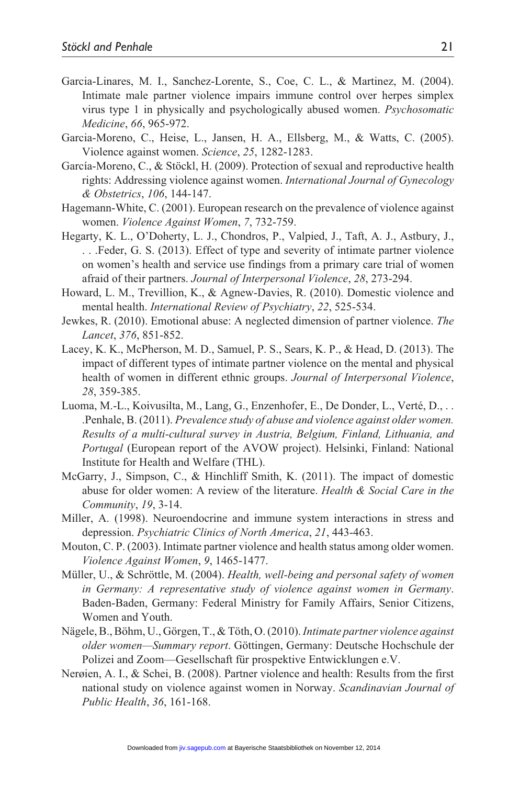- Garcia-Linares, M. I., Sanchez-Lorente, S., Coe, C. L., & Martinez, M. (2004). Intimate male partner violence impairs immune control over herpes simplex virus type 1 in physically and psychologically abused women. *Psychosomatic Medicine*, *66*, 965-972.
- Garcia-Moreno, C., Heise, L., Jansen, H. A., Ellsberg, M., & Watts, C. (2005). Violence against women. *Science*, *25*, 1282-1283.
- García-Moreno, C., & Stöckl, H. (2009). Protection of sexual and reproductive health rights: Addressing violence against women. *International Journal of Gynecology & Obstetrics*, *106*, 144-147.
- Hagemann-White, C. (2001). European research on the prevalence of violence against women. *Violence Against Women*, *7*, 732-759.
- Hegarty, K. L., O'Doherty, L. J., Chondros, P., Valpied, J., Taft, A. J., Astbury, J., . . .Feder, G. S. (2013). Effect of type and severity of intimate partner violence on women's health and service use findings from a primary care trial of women afraid of their partners. *Journal of Interpersonal Violence*, *28*, 273-294.
- Howard, L. M., Trevillion, K., & Agnew-Davies, R. (2010). Domestic violence and mental health. *International Review of Psychiatry*, *22*, 525-534.
- Jewkes, R. (2010). Emotional abuse: A neglected dimension of partner violence. *The Lancet*, *376*, 851-852.
- Lacey, K. K., McPherson, M. D., Samuel, P. S., Sears, K. P., & Head, D. (2013). The impact of different types of intimate partner violence on the mental and physical health of women in different ethnic groups. *Journal of Interpersonal Violence*, *28*, 359-385.
- Luoma, M.-L., Koivusilta, M., Lang, G., Enzenhofer, E., De Donder, L., Verté, D., . . .Penhale, B. (2011). *Prevalence study of abuse and violence against older women. Results of a multi-cultural survey in Austria, Belgium, Finland, Lithuania, and Portugal* (European report of the AVOW project). Helsinki, Finland: National Institute for Health and Welfare (THL).
- McGarry, J., Simpson, C., & Hinchliff Smith, K. (2011). The impact of domestic abuse for older women: A review of the literature. *Health & Social Care in the Community*, *19*, 3-14.
- Miller, A. (1998). Neuroendocrine and immune system interactions in stress and depression. *Psychiatric Clinics of North America*, *21*, 443-463.
- Mouton, C. P. (2003). Intimate partner violence and health status among older women. *Violence Against Women*, *9*, 1465-1477.
- Müller, U., & Schröttle, M. (2004). *Health, well-being and personal safety of women in Germany: A representative study of violence against women in Germany*. Baden-Baden, Germany: Federal Ministry for Family Affairs, Senior Citizens, Women and Youth.
- Nägele, B., Böhm, U., Görgen, T., & Töth, O. (2010). *Intimate partner violence against older women—Summary report*. Göttingen, Germany: Deutsche Hochschule der Polizei and Zoom—Gesellschaft für prospektive Entwicklungen e.V.
- Nerøien, A. I., & Schei, B. (2008). Partner violence and health: Results from the first national study on violence against women in Norway. *Scandinavian Journal of Public Health*, *36*, 161-168.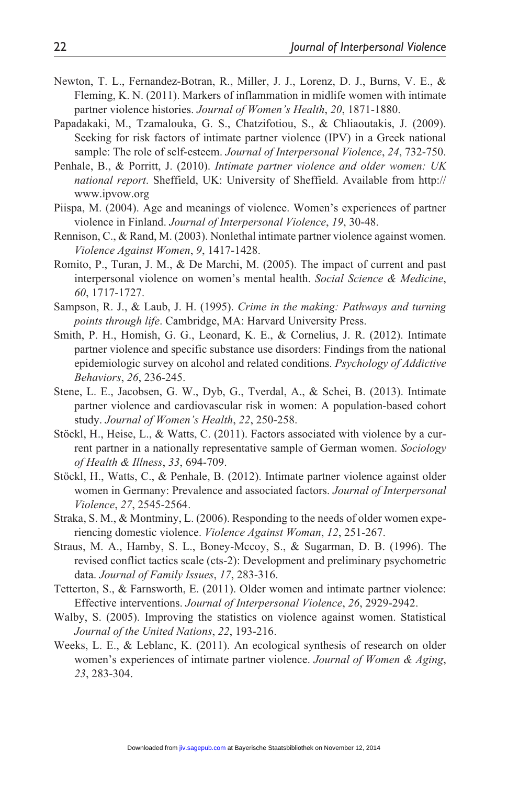- Newton, T. L., Fernandez-Botran, R., Miller, J. J., Lorenz, D. J., Burns, V. E., & Fleming, K. N. (2011). Markers of inflammation in midlife women with intimate partner violence histories. *Journal of Women's Health*, *20*, 1871-1880.
- Papadakaki, M., Tzamalouka, G. S., Chatzifotiou, S., & Chliaoutakis, J. (2009). Seeking for risk factors of intimate partner violence (IPV) in a Greek national sample: The role of self-esteem. *Journal of Interpersonal Violence*, *24*, 732-750.
- Penhale, B., & Porritt, J. (2010). *Intimate partner violence and older women: UK national report*. Sheffield, UK: University of Sheffield. Available from http:// www.ipvow.org
- Piispa, M. (2004). Age and meanings of violence. Women's experiences of partner violence in Finland. *Journal of Interpersonal Violence*, *19*, 30-48.
- Rennison, C., & Rand, M. (2003). Nonlethal intimate partner violence against women. *Violence Against Women*, *9*, 1417-1428.
- Romito, P., Turan, J. M., & De Marchi, M. (2005). The impact of current and past interpersonal violence on women's mental health. *Social Science & Medicine*, *60*, 1717-1727.
- Sampson, R. J., & Laub, J. H. (1995). *Crime in the making: Pathways and turning points through life*. Cambridge, MA: Harvard University Press.
- Smith, P. H., Homish, G. G., Leonard, K. E., & Cornelius, J. R. (2012). Intimate partner violence and specific substance use disorders: Findings from the national epidemiologic survey on alcohol and related conditions. *Psychology of Addictive Behaviors*, *26*, 236-245.
- Stene, L. E., Jacobsen, G. W., Dyb, G., Tverdal, A., & Schei, B. (2013). Intimate partner violence and cardiovascular risk in women: A population-based cohort study. *Journal of Women's Health*, *22*, 250-258.
- Stöckl, H., Heise, L., & Watts, C. (2011). Factors associated with violence by a current partner in a nationally representative sample of German women. *Sociology of Health & Illness*, *33*, 694-709.
- Stöckl, H., Watts, C., & Penhale, B. (2012). Intimate partner violence against older women in Germany: Prevalence and associated factors. *Journal of Interpersonal Violence*, *27*, 2545-2564.
- Straka, S. M., & Montminy, L. (2006). Responding to the needs of older women experiencing domestic violence. *Violence Against Woman*, *12*, 251-267.
- Straus, M. A., Hamby, S. L., Boney-Mccoy, S., & Sugarman, D. B. (1996). The revised conflict tactics scale (cts-2): Development and preliminary psychometric data. *Journal of Family Issues*, *17*, 283-316.
- Tetterton, S., & Farnsworth, E. (2011). Older women and intimate partner violence: Effective interventions. *Journal of Interpersonal Violence*, *26*, 2929-2942.
- Walby, S. (2005). Improving the statistics on violence against women. Statistical *Journal of the United Nations*, *22*, 193-216.
- Weeks, L. E., & Leblanc, K. (2011). An ecological synthesis of research on older women's experiences of intimate partner violence. *Journal of Women & Aging*, *23*, 283-304.